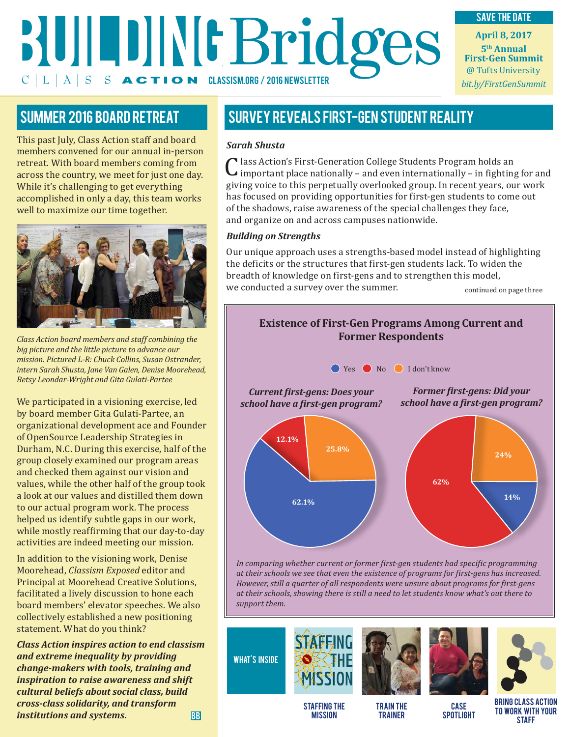# **Bridges April 8, 2017**<br> **April 8, 2017**<br> **Bridges April 8, 2017**<br> **Experiment Response April 8, 2017**<br> **Experiment Response April 8, 2017**  $C|L|A|S|S$  **ACTION** CLASSISM.ORG / 2016 NEWSLETTER

### save the date

**5th Annual First-Gen Summit** @ Tufts University *bit.ly/FirstGenSummit*

This past July, Class Action staff and board members convened for our annual in-person retreat. With board members coming from across the country, we meet for just one day. While it's challenging to get everything accomplished in only a day, this team works well to maximize our time together.



*Class Action board members and staff combining the big picture and the little picture to advance our mission. Pictured L-R: Chuck Collins, Susan Ostrander, intern Sarah Shusta, Jane Van Galen, Denise Moorehead, Betsy Leondar-Wright and Gita Gulati-Partee*

We participated in a visioning exercise, led by board member Gita Gulati-Partee, an organizational development ace and Founder of OpenSource Leadership Strategies in Durham, N.C. During this exercise, half of the group closely examined our program areas and checked them against our vision and values, while the other half of the group took a look at our values and distilled them down to our actual program work. The process helped us identify subtle gaps in our work, while mostly reaffirming that our day-to-day activities are indeed meeting our mission.

In addition to the visioning work, Denise Moorehead, *Classism Exposed* editor and Principal at Moorehead Creative Solutions, facilitated a lively discussion to hone each board members' elevator speeches. We also collectively established a new positioning statement. What do you think?

*Class Action inspires action to end classism and extreme inequality by providing change-makers with tools, training and inspiration to raise awareness and shift cultural beliefs about social class, build cross-class solidarity, and transform institutions and systems.* BB

### SUMMER 2016 BOARD RETREAT SURVEY REVEALS FIRST-GEN STUDENT REALITY

#### *Sarah Shusta*

lass Action's First-Generation College Students Program holds an important place nationally – and even internationally – in fighting for and Grass Action's First-Generation Conege Students Program holds and<br>giving voice to this perpetually overlooked group. In recent years, our work<br>discussions work and the set of this perpetually overlooked group. In recent ye has focused on providing opportunities for first-gen students to come out of the shadows, raise awareness of the special challenges they face, and organize on and across campuses nationwide.

#### *Building on Strengths*

Our unique approach uses a strengths-based model instead of highlighting the deficits or the structures that first-gen students lack. To widen the breadth of knowledge on first-gens and to strengthen this model, we conducted a survey over the summer. continued on page three

#### **Existence of First-Gen Programs Among Current and Former Respondents**



*In comparing whether current or former first-gen students had specific programming at their schools we see that even the existence of programs for first-gens has increased. However, still a quarter of all respondents were unsure about programs for first-gens at their schools, showing there is still a need to let students know what's out there to support them.*

what's inside

STAFFING THE **MISSION** 

TRAIN THE TRAINER

CASE **SPOTLIGHT** 

bring Class Action to work with your **STAFF**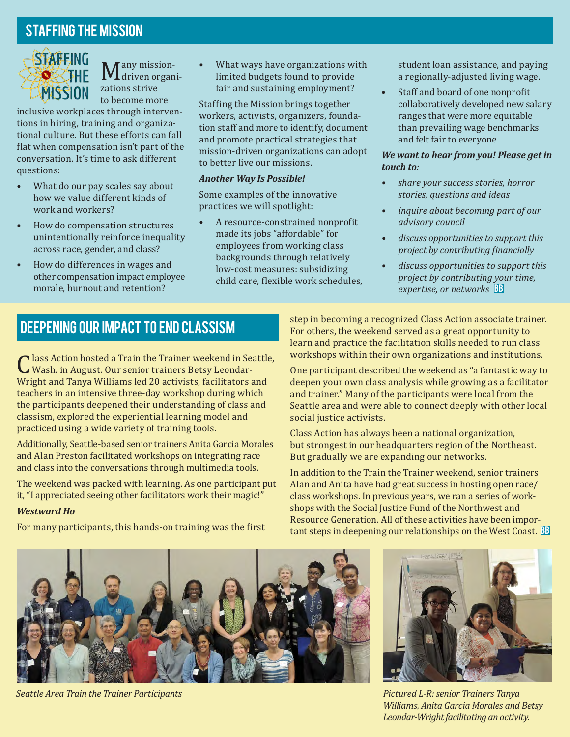### Staffing the Mission



any mission-**M** driven organi-<br>zations strive zations strive to become more

inclusive workplaces through interventions in hiring, training and organizational culture. But these efforts can fall flat when compensation isn't part of the conversation. It's time to ask different questions:

- What do our pay scales say about how we value different kinds of work and workers?
- How do compensation structures unintentionally reinforce inequality across race, gender, and class?
- How do differences in wages and other compensation impact employee morale, burnout and retention?

• What ways have organizations with limited budgets found to provide fair and sustaining employment?

Staffing the Mission brings together workers, activists, organizers, foundation staff and more to identify, document and promote practical strategies that mission-driven organizations can adopt to better live our missions.

#### *Another Way Is Possible!*

Some examples of the innovative practices we will spotlight:

• A resource-constrained nonprofit made its jobs "affordable" for employees from working class backgrounds through relatively low-cost measures: subsidizing child care, flexible work schedules, student loan assistance, and paying a regionally-adjusted living wage.

Staff and board of one nonprofit collaboratively developed new salary ranges that were more equitable than prevailing wage benchmarks and felt fair to everyone

#### *We want to hear from you! Please get in touch to:*

- *• share your success stories, horror stories, questions and ideas*
- *• inquire about becoming part of our advisory council*
- *• discuss opportunities to support this project by contributing financially*
- *• discuss opportunities to support this project by contributing your time, expertise, or networks* BB

### Deepening Our Impact to End Classism

lass Action hosted a Train the Trainer weekend in Seattle, U wash. in August. Our senior trainers Betsy Leondar-<br>Wright and Tanya Williams led 20 activists. facilitators a Wright and Tanya Williams led 20 activists, facilitators and teachers in an intensive three-day workshop during which the participants deepened their understanding of class and classism, explored the experiential learning model and practiced using a wide variety of training tools.

Additionally, Seattle-based senior trainers Anita Garcia Morales and Alan Preston facilitated workshops on integrating race and class into the conversations through multimedia tools.

The weekend was packed with learning. As one participant put it, "I appreciated seeing other facilitators work their magic!"

#### *Westward Ho*

For many participants, this hands-on training was the first

step in becoming a recognized Class Action associate trainer. For others, the weekend served as a great opportunity to learn and practice the facilitation skills needed to run class workshops within their own organizations and institutions.

One participant described the weekend as "a fantastic way to deepen your own class analysis while growing as a facilitator and trainer." Many of the participants were local from the Seattle area and were able to connect deeply with other local social justice activists.

Class Action has always been a national organization, but strongest in our headquarters region of the Northeast. But gradually we are expanding our networks.

In addition to the Train the Trainer weekend, senior trainers Alan and Anita have had great success in hosting open race/ class workshops. In previous years, we ran a series of workshops with the Social Justice Fund of the Northwest and Resource Generation. All of these activities have been impor- $\tanh$  steps in deepening our relationships on the West Coast.  $\boxtimes$ 



*Seattle Area Train the Trainer Participants*



*Pictured L-R: senior Trainers Tanya Williams, Anita Garcia Morales and Betsy Leondar-Wright facilitating an activity.*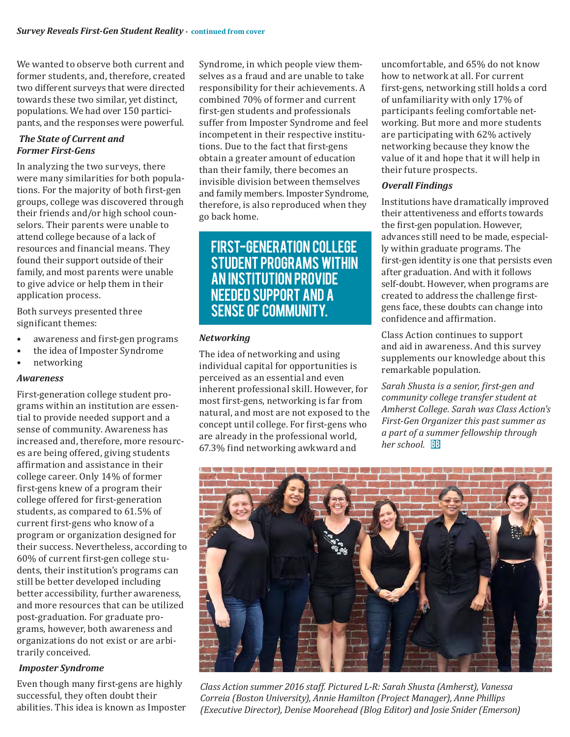We wanted to observe both current and former students, and, therefore, created two different surveys that were directed towards these two similar, yet distinct, populations. We had over 150 participants, and the responses were powerful.

#### *The State of Current and Former First-Gens*

In analyzing the two surveys, there were many similarities for both populations. For the majority of both first-gen groups, college was discovered through their friends and/or high school counselors. Their parents were unable to attend college because of a lack of resources and financial means. They found their support outside of their family, and most parents were unable to give advice or help them in their application process.

Both surveys presented three significant themes:

- awareness and first-gen programs
- the idea of Imposter Syndrome
- networking

#### *Awareness*

First-generation college student programs within an institution are essential to provide needed support and a sense of community. Awareness has increased and, therefore, more resources are being offered, giving students affirmation and assistance in their college career. Only 14% of former first-gens knew of a program their college offered for first-generation students, as compared to 61.5% of current first-gens who know of a program or organization designed for their success. Nevertheless, according to 60% of current first-gen college students, their institution's programs can still be better developed including better accessibility, further awareness, and more resources that can be utilized post-graduation. For graduate programs, however, both awareness and organizations do not exist or are arbitrarily conceived.

#### *Imposter Syndrome*

Even though many first-gens are highly successful, they often doubt their abilities. This idea is known as Imposter Syndrome, in which people view themselves as a fraud and are unable to take responsibility for their achievements. A combined 70% of former and current first-gen students and professionals suffer from Imposter Syndrome and feel incompetent in their respective institutions. Due to the fact that first-gens obtain a greater amount of education than their family, there becomes an invisible division between themselves and family members. Imposter Syndrome, therefore, is also reproduced when they go back home.

### First-generation college student programs within an institution provide needed support and a sense of community.

#### *Networking*

The idea of networking and using individual capital for opportunities is perceived as an essential and even inherent professional skill. However, for most first-gens, networking is far from natural, and most are not exposed to the concept until college. For first-gens who are already in the professional world, 67.3% find networking awkward and

uncomfortable, and 65% do not know how to network at all. For current first-gens, networking still holds a cord of unfamiliarity with only 17% of participants feeling comfortable networking. But more and more students are participating with 62% actively networking because they know the value of it and hope that it will help in their future prospects.

#### *Overall Findings*

Institutions have dramatically improved their attentiveness and efforts towards the first-gen population. However, advances still need to be made, especially within graduate programs. The first-gen identity is one that persists even after graduation. And with it follows self-doubt. However, when programs are created to address the challenge firstgens face, these doubts can change into confidence and affirmation.

Class Action continues to support and aid in awareness. And this survey supplements our knowledge about this remarkable population.

*Sarah Shusta is a senior, first-gen and community college transfer student at Amherst College. Sarah was Class Action's First-Gen Organizer this past summer as a part of a summer fellowship through her school.* BB



*Class Action summer 2016 staff. Pictured L-R: Sarah Shusta (Amherst), Vanessa Correia (Boston University), Annie Hamilton (Project Manager), Anne Phillips (Executive Director), Denise Moorehead (Blog Editor) and Josie Snider (Emerson)*